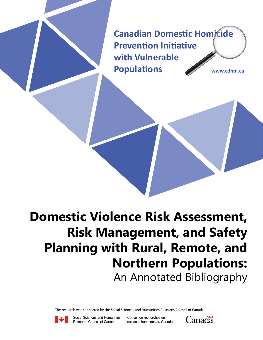**Canadian Domestic Homicide Prevention Initiative with Vulnerable Populations www.cdhpi.ca**

# **Domestic Violence Risk Assessment, Risk Management, and Safety Planning with Rural, Remote, and Northern Populations:** An Annotated Bibliography

The research was supported by the Social Sciences and Humanities Research Council of Canada.



Social Sciences and Humanities Research Council of Canada

Conseil de recherches en sciences humaines du Canada

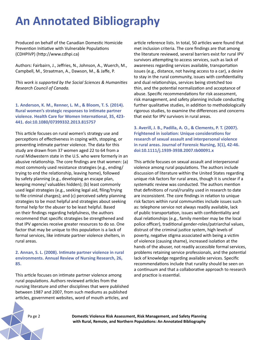# **An Annotated Bibliography**

Produced on behalf of the Canadian Domestic Homicide Prevention Initiative with Vulnerable Populations (CDHPIVP) (http://www.cdhpi.ca)

Authors: Fairbairn, J., Jeffries, N., Johnson, A., Wuerch, M., Campbell, M., Straatman, A., Dawson, M., & Jaffe, P.

*This work is supported by the Social Sciences & Humanities Research Council of Canada.*

**1. Anderson, K. M., Renner, L. M., & Bloom, T. S. (2014). Rural women's strategic responses to intimate partner violence. Health Care for Women International, 35, 423- 441. doi:10.1080/07399332.2013.815757**

This article focuses on rural women's strategy use and perceptions of effectiveness in coping with, stopping, or preventing intimate partner violence. The data for this study are drawn from 37 women aged 22 to 64 from a rural Midwestern state in the U.S. who were formerly in an abusive relationship. The core findings are that women: (a) most commonly used resistance strategies (e.g., ending/ trying to end the relationship, leaving home), followed by safety planning (e.g., developing an escape plan, keeping money/ valuables hidden); (b) least commonly used legal strategies (e.g., seeking legal aid, filing/trying to file criminal charges); and (c) perceived safety planning strategies to be most helpful and strategies about seeking formal help for the abuser to be least helpful. Based on their findings regarding helpfulness, the authors recommend that specific strategies be strengthened and that IPV agencies receive greater resources to do so. One factor that may be unique to this population is a lack of formal services, like intimate partner violence shelters, in rural areas.

#### **2. Annan, S. L. (2008). Intimate partner violence in rural environments. Annual Review of Nursing Research, 26, 85.**

This article focuses on intimate partner violence among rural populations. Authors reviewed articles from the nursing literature and other disciplines that were published between 1987 and 2007, from such mediums as published articles, government websites, word of mouth articles, and

article reference lists. In total, 50 articles were found that met inclusion criteria. The core findings are that among the literature reviewed, several barriers exist for rural IPV survivors attempting to access services, such as lack of awareness regarding services available, transportation issues (e.g., distance, not having access to a car), a desire to stay in the rural community, issues with confidentiality and dual relationships, services being stretched too thin, and the potential normalization and acceptance of abuse. Specific recommendations for risk assessment, risk management, and safety planning include conducting further qualitative studies, in addition to methodologically rigorous studies, to examine the differences and concerns that exist for IPV survivors in rural areas.

**3. Averill, J. B., Padilla, A. O., & Clements, P. T. (2007). Frightened in isolation: Unique considerations for research of sexual assault and interpersonal violence in rural areas. Journal of Forensic Nursing, 3(1), 42-46. doi:10.1111/j.1939-3938.2007.tb00091.x**

This article focuses on sexual assault and interpersonal violence among rural populations. The authors include discussion of literature within the United States regarding unique risk factors for rural areas, though it is unclear if a systematic review was conducted. The authors mention that definitions of rural/rurality used in research to date are inconsistent. The core findings in relation to unique risk factors within rural communities include issues such as: telephone service not always readily available, lack of public transportation, issues with confidentiality and dual relationships (e.g., family member may be the local police officer), traditional gender-roles/patriarchal values, distrust of the criminal justice system, high levels of poverty, negative stigma associated with being a victim of violence (causing shame), increased isolation at the hands of the abuser, not readily accessible formal services, problems retaining service professionals, and the potential lack of knowledge regarding available services. Specific recommendations include that rurality should be seen on a continuum and that a collaborative approach to research and practice is essential.

Pa ge 2 **Domestic Violence Risk Assessment, Risk Management, and Safety Planning with Rural, Remote, and Northern Populations: An Annotated Bibliography**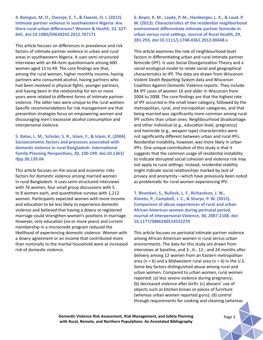**4. Balogun, M. O., Owoaje, E. T., & Fawole, O. I. (2012). Intimate partner violence in southwestern Nigeria: Are there rural-urban differences? Women & Health, 52, 627- 645. doi:10.1080/03630242.2012.707171**

This article focuses on differences in prevalence and risk factors of intimate partner violence in urban and rural areas in southwestern Nigeria. It uses semi-structured interviews with an 84-item questionnaire among 600 women aged 15 to 49. The core findings are that, among the rural women, higher monthly income, having partners who consumed alcohol, having partners who had been involved in physical fights, younger partners, and having been in the relationship for ten or more years were related to different forms of intimate partner violence. The latter two were unique to the rural women. Specific recommendations for risk management are that prevention strategies focus on empowering women and discouraging men's excessive alcohol consumption and interpersonal violence.

**5. Bates, L. M., Schuler, S. R., Islam, F., & Islam, K. (2004). Socioeconomic factors and processes associated with domestic violence in rural Bangladesh. International Family Planning Perspectives, 30, 190-199. doi:10.1363/ ifpp.30.139.04**

This article focuses on the social and economic risks factors for domestic violence among married women in rural Bangladesh. It uses semi-structured interviews with 76 women, four small group discussions with 5 to 8 women each, and quantitative surveys with 1,212 women. Participants expected women with more income and education to be less likely to experience domestic violence and believed that having a dowry or registered marriage could strengthen women's positions in marriage. However, only education (six or more years) and current membership in a microcredit program reduced the likelihood of experiencing domestic violence. Women with a dowry agreement or an income that contributed more than nominally to the marital household were at increased risk of domestic violence.

**6. Beyer, K. M., Layde, P. M., Hamberger, L. K., & Laud, P. W. (2013). Characteristics of the residential neighborhood environment differentiate intimate partner femicide in urban versus rural settings. Journal of Rural Health, 29, 281-293. doi:10.1111/j.1748-0361.2012.00448.x**

This article examines the role of neighbourhood-level factors in differentiating urban and rural intimate partner femicide (IPF). It uses Social Disorganization Theory and a social-ecological model to relate social and geographical characteristics to IPF. The data are drawn from Wisconsin Violent Death Reporting System data and Wisconsin Coalition Against Domestic Violence reports. They include 84 IPF cases of women 16 and older in Wisconsin from 2004 to 2008. The core findings are that the highest rate of IPF occurred in the small town category, followed by the metropolitan, rural, and micropolitan categories, and that being married was significantly more common among rural IPF victims than urban ones. Neighbourhood disadvantage and other individual (e.g., education level, pregnancy) and homicide (e.g., weapon type) characteristics were not significantly different between urban and rural IPFs. Residential instability, however, was more likely in urban IPFs. One unique contribution of this study is that it suggests that the common usage of residential instability to indicate disrupted social cohesion and violence risk may not apply to rural settings. Instead, residential stability might indicate social relationships marked by lack of privacy and anonymity—which have previously been noted as problematic for rural women experiencing IPV.

**7. Bhandari, S., Bullock, L. F., Richardson, J. W., Kimeto, P., Campbell, J. C., & Sharps, P. W. (2015). Comparison of abuse experiences of rural and urban African American women during perinatal period. Journal of Interpersonal Violence, 30, 2087-2108. doi: 10.1177/0886260514552274** 

This article focuses on perinatal intimate partner violence among African American women in rural versus urban environments. The data for this study are drawn from interviews at baseline, and 3-, 6-, 12-, and 24 months after delivery among 12 women from an Eastern metropolitan area ( $n = 6$ ) and a Midwestern rural area ( $n = 6$ ) in the U.S. Some key factors distinguished abuse among rural and urban women. Compared to urban women, rural women reported: (a) less severe violence during pregnancy; (b) decreased violence after birth; (c) abusers' use of objects such as kitchen knives or pieces of furniture (whereas urban women reported guns); (d) control through requirements for cooking and cleaning (whereas

**Domestic Violence Risk Assessment, Risk Management, and Safety Planning** *Page 3* **with Rural, Remote, and Northern Populations: An Annotated Bibliography**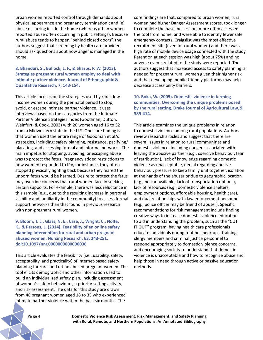urban women reported control through demands about physical appearance and pregnancy termination); and (e) abuse occurring inside the home (whereas urban women reported abuse often occurring in public settings). Because rural abuse tends to happen "behind closed doors", the authors suggest that screening by health care providers should ask questions about how anger is managed in the home.

## **8. Bhandari, S., Bullock, L. F., & Sharps, P. W. (2013). Strategies pregnant rural women employ to deal with intimate partner violence. Journal of Ethnographic & Qualitative Research, 7, 143-154.**

This article focuses on the strategies used by rural, lowincome women during the perinatal period to stop, avoid, or escape intimate partner violence. It uses interviews based on the categories from the Intimate Partner Violence Strategies Index (Goodman, Dutton, Weinfurt, & Cook, 2003) with 20 women aged 16 to 32 from a Midwestern state in the U.S. One core finding is that women used the entire range of Goodman et al.'s strategies, including: safety planning, resistance, pacifying/ placating, and accessing formal and informal networks. The main impetus for stopping, avoiding, or escaping abuse was to protect the fetus. Pregnancy added restrictions to how women responded to IPV, for instance, they often stopped physically fighting back because they feared the unborn fetus would be harmed. Desire to protect the fetus may override concerns that rural women face in seeking certain supports. For example, there was less reluctance in this sample (e.g., due to the resulting increase in personal visibility and familiarity in the community) to access formal support networks than that found in previous research with non-pregnant rural women.

#### **9. Bloom, T. L., Glass, N. E., Case, J., Wright, C., Nolte, K., & Parsons, L. (2014). Feasibility of an online safety planning intervention for rural and urban pregnant abused women. Nursing Research, 63, 243-251. doi:10.1097/nnr.0000000000000036**

This article evaluates the feasibility (i.e., usability, safety, acceptability, and practicality) of Internet-based safety planning for rural and urban abused pregnant women. The tool elicits demographic and other information used to build an individualized safety plan, including assessment of women's safety behaviours, a priority-setting activity, and risk assessment. The data for this study are drawn from 46 pregnant women aged 18 to 35 who experienced intimate partner violence within the past six months. The

core findings are that, compared to urban women, rural women had higher Danger Assessment scores, took longer to complete the baseline session, more often accessed the tool from home, and were able to identify fewer safe emergency contacts. Craigslist was the most effective recruitment site (even for rural women) and there was a high rate of mobile device usage connected with the study. Retention at each session was high (about 75%) and no adverse events related to the study were reported. The authors suggest that increased access to safety planning is needed for pregnant rural women given their higher risk and that developing mobile-friendly platforms may help decrease accessibility barriers.

## **10. Boka, W. (2005). Domestic violence in farming communities: Overcoming the unique problems posed by the rural setting. Drake Journal of Agricultural Law, 9, 389-414.**

This article examines the unique problems in relation to domestic violence among rural populations. Authors review research articles and suggest that there are several issues in relation to rural communities and domestic violence, including dangers associated with leaving the abusive partner (e.g., coercive behaviour, fear of retribution), lack of knowledge regarding domestic violence as unacceptable, denial regarding abusive behaviour, pressure to keep family unit together, isolation at the hands of the abuser or due to geographic location (e.g., no car available, lack of transportation options), lack of resources (e.g., domestic violence shelters, employment options, affordable housing, health care), and dual relationships with law enforcement personnel (e.g., police officer may be friend of abuser). Specific recommendations for risk management include finding creative ways to increase domestic violence education to aid in understanding the problem, such as the "CUT IT OUT" program, having health care professionals educate individuals during routine check-ups, training clergy members and criminal justice personnel to respond appropriately to domestic violence concerns, and encouraging society to understand that domestic violence is unacceptable and how to recognize abuse and help those in need through active or passive education methods.

Pa ge 4 **Domestic Violence Risk Assessment, Risk Management, and Safety Planning with Rural, Remote, and Northern Populations: An Annotated Bibliography**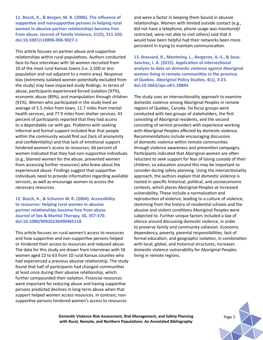**11. Bosch, K., & Bergen, M. B. (2006). The influence of supportive and nonsupportive persons in helping rural women in abusive partner relationships become free from abuse. Journal of Family Violence, 21(5), 311-320. doi:10.1007/s10896-006-9027-1**

This article focuses on partner abuse and supportive relationships within rural populations. Authors conducted face-to-face interviews with 56 women recruited from 10 of the most rural Kansas towns (i.e. 2,500 or less population and not adjacent to a metro area). Response bias (extremely isolated women potentially excluded from the study) may have impacted study findings. In terms of abuse, participants experienced forced isolation (97%), economic abuse (89%), and manipulation through children (91%). Women who participated in the study lived an average of 5.5 miles from town, 11.7 miles from mental health services, and 77.9 miles from shelter services. 43 percent of participants reported that they had access to a dependable car with gas. Problems with seeking informal and formal support included fear that people within the community would find out (lack of anonymity and confidentiality) and that lack of emotional support hindered women's access to resources. 66 percent of women indicated that they had non-supportive individuals (e.g., blamed women for the abuse, prevented women from accessing further resources) who knew about the experienced abuse. Findings suggest that supportive individuals need to provide information regarding available services, as well as encourage women to access the necessary resources.

## **12. Bosch, K., & Schumm W. R. (2004). Accessibility to resources: Helping rural women in abusive partner relationships become free from abuse. Journal of Sex & Marital Therapy, 30, 357-370. doi:10.1080/00926230490465118**

This article focuses on rural women's access to resources and how supportive and non-supportive persons helped or hindered their access to resources and reduced abuse. The data for this study are drawn from interviews with 56 women aged 22 to 63 from 10 rural Kansas counties who had experienced a previous abusive relationship. The study found that half of participants had changed communities at least once during their abusive relationship, which further compounded their isolation. Financial resources were important for reducing abuse and having supportive persons predicted declines in long-term abuse when that support helped women access resources. In contrast, nonsupportive persons hindered women's access to resources

and were a factor in keeping them bound in abusive relationships. Women with limited outside contact (e.g., did not have a telephone, phone usage was monitored/ restricted, were not able to visit others) said that it would have been helpful had their networks been more persistent in trying to maintain communication.

**13. Brassard, R., Montminy, L., Bergeron, A.-S., & Sosa-Sanchez, I. A. (2015). Application of intersectional analysis to data on domestic violence against Aboriginal women living in remote communities in the province of Quebec. Aboriginal Policy Studies, 4(1), 3-23. doi:10.5663/aps.v4i1.20894**

The study uses an intersectionality approach to examine domestic violence among Aboriginal Peoples in remote regions of Quebec, Canada. Six focus groups were conducted with two groups of stakeholders, the first consisting of Aboriginal residents, and the second consisting of service providers with experience working with Aboriginal Peoples affected by domestic violence. Recommendations include encouraging discussion of domestic violence within remote communities through violence awareness and prevention campaigns. Participants indicated that Aboriginal women are often reluctant to seek support for fear of losing custody of their children, so education around this may be important to consider during safety planning. Using the intersectionality approach, the authors explain that domestic violence is rooted in specific historical, political, and socioeconomic contexts, which places Aboriginal Peoples at increased vulnerability. These include a normalization and reproduction of violence, leading to a culture of violence, stemming from the history of residential schools and the abusive and violent conditions Aboriginal Peoples were subjected to. Further unique factors included a law of silence around discussing domestic violence, in order to preserve family and community cohesion. Economic dependency, poverty, parental responsibilities, lack of formal education, and geographic isolation, in combination with local, global, and historical structures, increases domestic violence vulnerability for Aboriginal Peoples living in remote regions.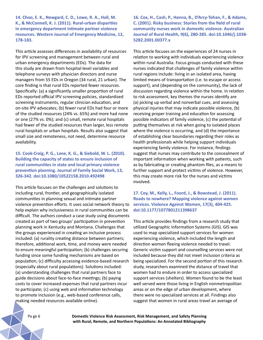**14. Choo, E. K., Newgard, C. D., Lowe, R. A., Hall, M. K., & McConnell, K. J. (2011). Rural-urban disparities in emergency department intimate partner violence resources. Western Journal of Emergency Medicine, 12, 178-183.** 

This article assesses differences in availability of resources for IPV screening and management between rural and urban emergency departments (EDs). The data for this study are drawn from hospital-level variables and telephone surveys with physician directors and nurse managers from 55 EDs in Oregon (34 rural, 21 urban). The core finding is that rural EDs reported fewer resources. Specifically: (a) a significantly smaller proportion of rural EDs reported official IPV screening policies, standardized screening instruments, regular clinician education, and on-site IPV advocates; (b) fewer rural EDs had four or more of the studied resources (24% vs. 65%) and more had none or one (27% vs. 0%); and (c) small, remote rural hospitals had fewer of the studied resources than larger, less remote rural hospitals or urban hospitals. Results also suggest that small size and remoteness, not need, determine resource availability.

**15. Cook-Craig, P. G., Lane, K. G., & Siebold, W. L. (2010). Building the capacity of states to ensure inclusion of rural communities in state and local primary violence prevention planning. Journal of Family Social Work, 13, 326-342. doi:10.1080/10522158.2010.492498**

This article focuses on the challenges and solutions to including rural, frontier, and geographically isolated communities in planning sexual and intimate partner violence prevention efforts. It uses social network theory to help explain why inclusiveness in rural communities can be difficult. The authors conduct a case study using documents created as part of two groups' participation in prevention planning work in Kentucky and Montana. Challenges that the groups experienced in creating an inclusive process included: (a) rurality creating distance between partners; therefore, additional work, time, and money were needed to ensure meaningful participation; (b) challenges securing funding since some funding mechanisms are based on population; (c) difficulty accessing evidence-based research (especially about rural populations). Solutions included: (a) understanding challenges that rural partners face to guide decisions about face-to-face meetings; (b) paying costs to cover increased expenses that rural partners incur to participate; (c) using web and information technology to promote inclusion (e.g., web-based conference calls, making needed resources available online).

**16. Cox, H., Cash, P., Hanna, B., D'Arcy-Tehan, F., & Adams, C. (2001). Risky business: Stories from the field of rural community nurses work in domestic violence. Australian Journal of Rural Health, 9(6), 280-285. doi:10.1046/j.1038- 5282.2001.00377.x**

This article focuses on the experiences of 24 nurses in relation to working with individuals experiencing violence within rural Australia. Focus groups conducted with these nurses indicated that challenges of family violence within rural regions include: living in an isolated area, having limited means of transportation (i.e. to escape or access support), and (depending on the community), the lack of discussion regarding violence within the home. In relation to risk assessment, key themes the nurses identify are (a) picking up verbal and nonverbal cues, and assessing physical injuries that may indicate possible violence, (b) receiving proper training and education for assessing possible indicators of family violence, (c) the potential of putting themselves at risk when going to isolated places where the violence is occurring, and (d) the importance of establishing clear boundaries regarding their roles as health professionals while helping support individuals experiencing family violence. For instance, findings suggest that nurses may contribute to the concealment of important information when working with patients, such as by fabricating or creating phantom files, as a means to further support and protect victims of violence. However, this may create more risk for the nurses and victims involved.

**17. Coy, M., Kelly, L., Foord, J., & Bowstead, J. (2011). Roads to nowhere? Mapping violence against women services. Violence Against Women, 17(3), 404-425. doi:10.1177/1077801211398637**

This article provides findings from a research study that utilized Geographic Information Systems (GIS). GIS was used to map specialized support services for women experiencing violence, which included the length and direction women fleeing violence needed to travel. Generic victim support and counselling services were not included because they did not meet inclusion criteria as being specialized. For the second portion of this research study, researchers examined the distance of travel that women had to endure in order to access specialized support services (shelters). Women found to be the least well served were those living in English nonmetropolitan areas or on the edge of urban development, where there were no specialized services at all. Findings also suggest that women in rural areas travel an average of

Pa ge 6 **Domestic Violence Risk Assessment, Risk Management, and Safety Planning with Rural, Remote, and Northern Populations: An Annotated Bibliography**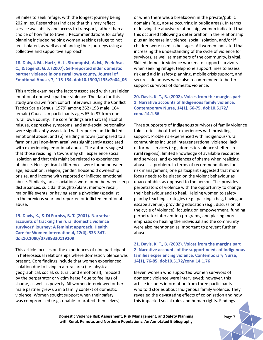59 miles to seek refuge, with the longest journey being 202 miles. Researchers indicate that this may reflect service availability and access to transport, rather than a choice of how far to travel. Recommendations for safety planning included helping women seeking refuge to not feel isolated, as well as enhancing their journeys using a collective and supportive approach.

# **18. Daly, J. M., Hartz, A. J., Stromquist, A. M., Peek-Asa, C., & Jogerst, G. J. (2007). Self-reported elder domestic partner violence in one rural Iowa county. Journal of Emotional Abuse, 7, 115-134. doi:10.1300/J135v7n04\_06**

This article examines the factors associated with rural elder emotional domestic partner violence. The data for this study are drawn from cohort interviews using the Conflict Tactics Scale (Straus, 1979) among 362 (198 male, 164 female) Caucasian participants ages 65 to 87 from one rural Iowa county. The core findings are that: (a) alcohol misuse, depressive symptoms, and anti-social personality were significantly associated with reported and inflicted emotional abuse; and (b) residing in town (compared to a farm or rural non-farm area) was significantly associated with experiencing emotional abuse. The authors suggest that those residing in towns may still experience social isolation and that this might be related to experiences of abuse. No significant differences were found between age, education, religion, gender, household ownership or size, and income with reported or inflicted emotional abuse. Similarly, no associations were found between sleep disturbances, suicidal thoughts/plans, memory recall, major life events, or having seen a physician/specialist in the previous year and reported or inflicted emotional abuse.

**19. Davis, K., & Di Furniss, B. T. (2001). Narrative accounts of tracking the rural domestic violence survivors' journey: A feminist approach. Health Care for Women International, 22(4), 333-347. doi:10.1080/07399330119209**

This article focuses on the experiences of nine participants in heterosexual relationships where domestic violence was present. Core findings include that women experienced isolation due to living in a rural area (i.e. physical, geographical, social, cultural, and emotional), imposed by the perpetrator or victim herself due to feelings of shame, as well as poverty. All women interviewed or her male partner grew up in a family context of domestic violence. Women sought support when their safety was compromised (e.g., unable to protect themselves)

or when there was a breakdown in the private/public domains (e.g., abuse occurring in public areas). In terms of leaving the abusive relationship, women indicated that this occurred following a deterioration in the relationship plus an increase in violence, social isolation, and/or if children were used as hostages. All women indicated that increasing the understanding of the cycle of violence for survivors, as well as members of the community, is vital. Skilled domestic violence workers to support survivors when seeking refuge, telephone support lines to assess risk and aid in safety planning, mobile crisis support, and secure safe houses were also recommended to better support survivors of domestic violence.

## **20. Davis, K. T., B. (2002). Voices from the margins part 1: Narrative accounts of Indigenous family violence. Contemporary Nurse, 14(1), 66-75. doi:10.5172/ conu.14.1.66**

Three supporters of Indigenous survivors of family violence told stories about their experiences with providing support. Problems experienced with Indigenous/rural communities included intergenerational violence, lack of formal services (e.g., domestic violence shelters in rural regions), limited knowledge of available resources and services, and experiences of shame when realizing abuse is a problem. In terms of recommendations for risk management, one participant suggested that more focus needs to be placed on the violent behaviour as unacceptable, as opposed to the person. This provides perpetrators of violence with the opportunity to change their behaviour and to heal. Helping women to safety plan by teaching strategies (e.g., packing a bag, having an escape avenue), providing education (e.g., discussion of the cycle of violence), focusing on empowerment, funding perpetrator intervention programs, and placing more emphasis on healing the individual and the community were also mentioned as important to prevent further abuse.

# **21. Davis, K. T., B. (2002). Voices from the margins part 2: Narrative accounts of the support needs of Indigenous families experiencing violence. Contemporary Nurse, 14(1), 76-85. doi:10.5172/conu.14.1.76**

Eleven women who supported women survivors of domestic violence were interviewed; however, this article includes information from three participants who told stories about Indigenous family violence. They revealed the devastating effects of colonisation and how this impacted social roles and human rights. Findings

**Domestic Violence Risk Assessment, Risk Management, and Safety Planning** *Page 7* **with Rural, Remote, and Northern Populations: An Annotated Bibliography**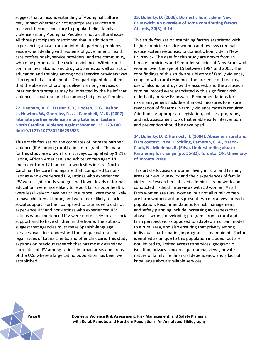suggest that a misunderstanding of Aboriginal culture may impact whether or not appropriate services are received, because contrary to popular belief, family violence among Aboriginal Peoples is not a cultural issue. All three participants mentioned that in addition to experiencing abuse from an intimate partner, problems ensue when dealing with systems of government, health care professionals, service providers, and the community, who may perpetuate the cycle of violence. Within rural communities, alcohol and drug problems, as well as lack of education and training among social service providers was also reported as problematic. One participant described that the absence of prompt delivery among services or intervention strategies may be impacted by the belief that violence is a cultural practice among Indigenous Peoples.

**22. Denham, A. C., Frasier, P. Y., Hooten, E. G., Belton, L., Newton, W., Gonzalez, P., . . . Campbell, M. K. (2007). Intimate partner violence among Latinas in Eastern North Carolina. Violence Against Women, 13, 123-140. doi:10.1177/1077801206296983**

This article focuses on the correlates of intimate partner violence (IPV) among rural Latina immigrants. The data for this study are drawn from surveys completed by 1,212 Latina, African American, and White women aged 18 and older from 12 blue-collar work sites in rural North Carolina. The core findings are that, compared to non-Latinas who experienced IPV, Latinas who experienced IPV were significantly younger, had lower levels of formal education, were more likely to report fair or poor health, were less likely to have health insurance, were more likely to have children at home, and were more likely to lack social support. Further, compared to Latinas who did not experience IPV and non-Latinas who experienced IPV, Latinas who experienced IPV were more likely to lack social support and to have children in the home. The authors suggest that agencies must make Spanish-language services available, understand the unique cultural and legal issues of Latina clients, and offer childcare. This study expands on previous research that has mostly examined correlates of IPV among Latinas in urban areas and areas of the U.S. where a large Latino population has been well established.

**23. Doherty, D. (2006). Domestic homicide in New Brunswick: An overview of some contributing factors. Atlantis, 30(3), 4-14.** 

This study focuses on examining factors associated with higher homicide risk for women and reviews criminal justice system responses to domestic homicide in New Brunswick. The data for this study are drawn from 19 female homicides and 9 murder-suicides of New Brunswick women over the age of 15 between 1984 and 2005. The core findings of this study are a history of family violence, coupled with rural residence, the presence of firearms, use of alcohol or drugs by the accused, and the accused's criminal record were associated with a significant risk of lethality in New Brunswick. Recommendations for risk management include enhanced measures to ensure revocation of firearms in family violence cases is required. Additionally, appropriate legislation, policies, programs, and risk assessment tools that enable early intervention and prevention should be developed.

**24. Doherty, D. & Hornosty, J. (2004). Abuse in a rural and farm context. In M. L. Stirling, Cameron, C. A., Nason-Clark, N., Miedema, B. (Eds.), Understanding abuse: Partnering for change (pp. 55-82). Toronto, ON: University of Toronto Press.** 

This article focuses on women living in rural and farming areas of New Brunswick and their experiences of family violence. Researchers utilized a feminist framework and conducted in-depth interviews with 50 women. As all farm women are rural women, but not all rural women are farm women, authors present two narratives for each population. Recommendations for risk management and safety planning include increasing awareness that abuse is wrong, developing programs from a rural and farm perspective, as opposed to adapted an urban model to a rural area, and also ensuring that privacy among individuals participating in programs is maintained. Factors identified as unique to this population included, but are not limited to, limited access to services, geographic isolation, privacy concerns, patriarchal views, private nature of family life, financial dependency, and a lack of knowledge about available services.

Pa ge 8 **Domestic Violence Risk Assessment, Risk Management, and Safety Planning with Rural, Remote, and Northern Populations: An Annotated Bibliography**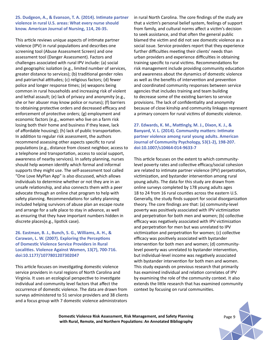#### **25. Dudgeon, A., & Evanson, T. A. (2014). Intimate partner violence in rural U.S. areas: What every nurse should know. American Journal of Nursing, 114, 26-35.**

This article reviews unique aspects of intimate partner violence (IPV) in rural populations and describes one screening tool (Abuse Assessment Screen) and one assessment tool (Danger Assessment). Factors and challenges associated with rural IPV include: (a) social and geographic isolation (e.g., limited number of services, greater distance to services); (b) traditional gender roles and patriarchal attitudes; (c) religious factors; (d) fewer police and longer response times; (e) weapons being common in rural households and increasing risk of violent and lethal assault; (e) lack of privacy and anonymity (e.g., she or her abuser may know police or nurses); (f) barriers to obtaining protective orders and decreased efficacy and enforcement of protective orders; (g) employment and economic factors (e.g., women who live on a farm risk losing both their home and business if they leave, lack of affordable housing); (h) lack of public transportation. In addition to regular risk assessment, the authors recommend assessing other aspects specific to rural populations (e.g., distance from closest neighbor, access to a telephone and transportation, access to social support, awareness of nearby services). In safety planning, nurses should help women identify which formal and informal supports they might use. The self-assessment tool called "One Love MyPlan App" is also discussed, which allows individuals to determine whether or not they are in an unsafe relationship, and also connects them with a peer advocate through an online chat program to help with safety planning. Recommendations for safety planning included helping survivors of abuse plan an escape route and arrange for a safe place to stay in advance, as well as ensuring that they have important numbers hidden in discrete places(e.g., lipstick case).

# **26. Eastman, B. J., Bunch, S. G., Williams, A. H., & Carawan, L. W. (2007). Exploring the Perceptions of Domestic Violence Service Providers in Rural Localities. Violence Against Women, 13(7), 700-716. doi:10.1177/1077801207302047**

This article focuses on investigating domestic violence service providers in rural regions of North Carolina and Virginia. It uses an ecological perspective to investigate individual and community level factors that affect the occurrence of domestic violence. The data are drawn from surveys administered to 51 service providers and 38 clients and a focus group with 7 domestic violence administrators

in rural North Carolina. The core findings of the study are that a victim's personal belief system, feelings of support from family, and cultural norms affect a victim's decision to seek assistance, and that often the general public blamed the victim and did not see domestic violence as a social issue. Service providers report that they experience further difficulties meeting their clients' needs than urban providers and experience difficulties in obtaining training specific to rural victims. Recommendations for risk management include providing community education and awareness about the dynamics of domestic violence as well as the benefits of intervention and prevention and coordinated community responses between service agencies that includes training and team building to decrease some of the existing barriers to service provisions. The lack of confidentiality and anonymity because of close kinship and community linkages represent a primary concern for rural victims of domestic violence.

**27. Edwards, K. M., Mattingly, M. J., Dixon, K. J., & Banyard, V. L. (2014). Community matters: Intimate partner violence among rural young adults. American Journal of Community Psychology, 53(1-2), 198-207. doi:10.1007/s10464-014-9633-7**

This article focuses on the extent to which communitylevel poverty rates and collective efficacy/social cohesion are related to intimate partner violence (IPV) perpetration, victimization, and bystander intervention among rural young adults. The data for this study are drawn from online surveys completed by 178 young adults ages 18 to 24 from 16 rural counties across the eastern U.S. Generally, the study finds support for social disorganization theory. The core findings are that: (a) community-level poverty was positively associated with IPV victimization and perpetration for both men and women; (b) collective efficacy was negatively associated with IPV victimization and perpetration for men but was unrelated to IPV victimization and perpetration for women; (c) collective efficacy was positively associated with bystander intervention for both men and women; (d) communitylevel poverty was unrelated to bystander intervention, but individual-level income was negatively associated with bystander intervention for both men and women. This study expands on previous research that primarily has examined individual and relation correlates of IPV by examining the role of the community context. It also extends the little research that has examined community context by focusing on rural communities.

**Domestic Violence Risk Assessment, Risk Management, and Safety Planning** *Page 9* **with Rural, Remote, and Northern Populations: An Annotated Bibliography**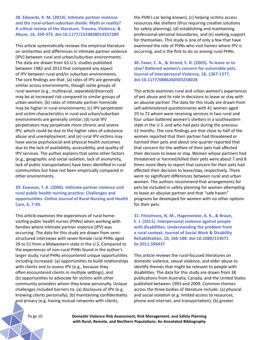**28. Edwards, K. M. (2014). Intimate partner violence and the rural-urban-suburban divide: Myth or reality? A critical review of the literature. Trauma, Violence, & Abuse, 16, 359-373. doi:10.1177/1524838014557289**

This article systematically reviews the empirical literature on similarities and differences in intimate partner violence (IPV) between rural and urban/suburban environments. The data are drawn from 63 U.S. studies published between 1982 and 2013 that compared any aspect of IPV between rural and/or suburban environments. The core findings are that: (a) rates of IPV are generally similar across environments, though some groups of rural women (e.g., multiracial, separated/divorced) may be at increased risk compared to similar groups of urban women; (b) rates of intimate partner homicide may be higher in rural environments; (c) IPV perpetrator and victim characteristics in rural and urban/suburban environments are generally similar; (d) rural IPV perpetrators may perpetrate more chronic and severe IPV, which could be due to the higher rates of substance abuse and unemployment; and (e) rural IPV victims may have worse psychosocial and physical health outcomes due to the lack of availability, accessibility, and quality of IPV services. The author explains that some other factors (e.g., geographic and social isolation, lack of anonymity, lack of public transportation) have been identified in rural communities but have not been empirically compared in other environments.

**29. Evanson, T. A. (2006). Intimate partner violence and rural public health nursing practice: Challenges and opportunities. Online Journal of Rural Nursing and Health Care, 6, 7-20.** 

This article examines the experiences of rural homevisiting public health nurses (PHNs) when working with families where intimate partner violence (IPV) was occurring. The data for this study are drawn from semistructured interviews with seven female rural PHNs aged 28 to 51 from a Midwestern state in the U.S. Compared to the experiences of non-rural PHNs found in the author's larger study, rural PHNs encountered unique opportunities including increased: (a) opportunities to build relationships with clients and to assess IPV (e.g., because they often encountered clients in multiple settings), and (b) opportunities to advocate for victims with other community providers whom they knew personally. Unique challenges included barriers to: (a) disclosure of IPV (e.g. knowing clients personally), (b) maintaining confidentiality and privacy (e.g. having mutual networks with clients,

the PHN's car being known), (c) helping victims access resources like shelters (thus requiring creative solutions for safety planning), (d) establishing and maintaining professional-personal boundaries, and (e) seeking support for themselves. This study is one of only a few that have examined the role of PHNs who visit homes where IPV is occurring, and is the first to do so among rural PHNs.

**30. Faver, C. A., & Strand, E. B. (2003). To leave or to stay? Battered women's concern for vulnerable pets. Journal of Interpersonal Violence, 18, 1367-1377. doi:10.1177/0886260503258028**

This article examines rural and urban women's experiences of pet abuse and its role in decisions to leave or stay with an abusive partner. The data for this study are drawn from self-administered questionnaires with 41 women aged 19 to 72 whom were receiving services in two rural and four urban battered women's shelters in a southeastern state in the U.S. and who had pets during the previous 12 months. The core findings are that close to half of the women reported that their partner had threatened or harmed their pets and about one quarter reported that that concern for the welfare of their pets had affected their decision to leave or stay. Women whose partners had threatened or harmed/killed their pets were about 7 and 8 times more likely to report that concern for their pets had affected their decision to leave/stay, respectively. There were no significant differences between rural and urban women. The authors recommend that arrangements for pets be included in safety planning for women attempting to leave an abusive partner and that "safe haven" programs be developed for women with no other options for their pets.

**31. Fitzsimons, N. M., Hagemeister, A. K., & Braun, E. J. (2011). Interpersonal violence against people with disabilities: Understanding the problem from a rural context. Journal of Social Work & Disability Rehabilitation, 10, 166-188. doi:10.1080/153671 0x.2011.596437**

This article reviews the rural-focused literatures on domestic violence, sexual violence, and elder abuse to identify themes that might be relevant to people with disabilities. The data for this study are drawn from 38 publications from Australia, Canada, and the United States published between 1993 and 2009. Common themes across the three bodies of literature include: (a) physical and social isolation (e.g. limited access to resources, phone and internet, and transportation); (b) greater

Pa ge 10 **Domestic Violence Risk Assessment, Risk Management, and Safety Planning with Rural, Remote, and Northern Populations: An Annotated Bibliography**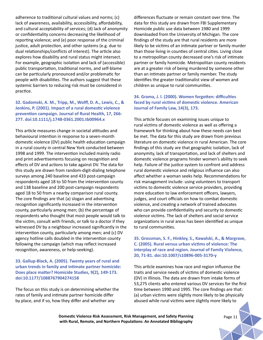adherence to traditional cultural values and norms; (c) lack of awareness, availability, accessibility, affordability, and cultural acceptability of services; (d) lack of anonymity or confidentiality concerns decreasing the likelihood of reporting violence; and (e) poor response of the criminal justice, adult protection, and other systems (e.g. due to dual relationships/conflicts of interest). The article also explores how disability and rural status might intersect. For example, geographic isolation and lack of (accessible) public transportation, traditional norms, and self-blame can be particularly pronounced and/or problematic for people with disabilities. The authors suggest that these systemic barriers to reducing risk must be considered in practice.

# **32. Gadomski, A. M., Tripp, M., Wolff, D. A., Lewis, C., & Jenkins, P. (2001). Impact of a rural domestic violence prevention campaign. Journal of Rural Health, 17, 266- 277. doi:10.1111/j.1748-0361.2001.tb00964.x**

This article measures change in societal attitudes and behavioural intention in response to a seven-month domestic violence (DV) public health education campaign in a rural county in central New York conducted between 1998 and 1999. The intervention included mainly radio and print advertisements focusing on recognition and effects of DV and actions to take against DV. The data for this study are drawn from random-digit-dialing telephone surveys among 240 baseline and 433 post-campaign respondents aged 18 to 50 from the intervention county and 138 baseline and 200 post-campaign respondents aged 18 to 50 from a nearby comparison rural county. The core findings are that (a) slogan and advertising recognition significantly increased in the intervention county, particularly among men; (b) the percentage of respondents who thought that most people would talk to the victim, consult with friends, or talk to a doctor if they witnessed DV by a neighbour increased significantly in the intervention county, particularly among men; and (c) DV agency hotline calls doubled in the intervention county following the campaign (which may reflect increased recognition, awareness, or help-seeking).

# **33. Gallup-Black, A. (2005). Twenty years of rural and urban trends in family and intimate partner homicide: Does place matter? Homicide Studies, 9(2), 149-173. doi:10.1177/1088767904274158**

The focus on this study is on determining whether the rates of family and intimate partner homicide differ by place, and if so, how they differ and whether any

differences fluctuate or remain constant over time. The data for this study are drawn from FBI Supplementary Homicide public use data between 1980 and 1999 downloaded from the University of Michigan. The core findings of the study are that rural residents are more likely to be victims of an intimate partner or family murder than those living in counties of central cities. Living close to a metropolitan county decreased one's risk of intimate partner or family homicide. Metropolitan county residents are at a greater risk of being murdered by someone other than an intimate partner or family member. The study identifies the greater traditionalist view of women and children as unique to rural communities.

# **34. Grama, J. l. (2000). Women forgotten: difficulties faced by rural victims of domestic violence. American Journal of Family Law, 14(3), 173.**

This article focuses on examining issues unique to rural victims of domestic violence as well as offering a framework for thinking about how these needs can best be met. The data for this study are drawn from previous literature on domestic violence in rural American. The core findings of this study are that geographic isolation, lack of anonymity, lack of transportation, and lack of shelters and domestic violence programs hinder women's ability to seek help. Failure of the justice system to confront and address rural domestic violence and religious influence can also affect whether a woman seeks help. Recommendations for risk management include: using volunteers to transport victims to domestic violence service providers, providing more education to law enforcement officers, lawyers, judges, and court officials on how to combat domestic violence, and creating a network of trained advocates who can provide confidentiality and security to domestic violence victims. The lack of shelters and social service organizations in rural areas has been identified as unique to rural communities.

# **35. Grossman, S. F., Hinkley, S., Kawalski, A., & Margrave, C. (2005). Rural versus urban victims of violence: The interplay of race and region. Journal of Family Violence, 20, 71-81. doi:10.1007/s10896-005-3170-y**

This article examines how race and region influence the traits and service needs of victims of domestic violence (DV) in Illinois. The data are drawn from intake forms of 53,275 clients who entered various DV services for the first time between 1990 and 1995. The core findings are that: (a) urban victims were slightly more likely to be physically abused while rural victims were slightly more likely to

**Domestic Violence Risk Assessment, Risk Management, and Safety Planning** *Page 11* **with Rural, Remote, and Northern Populations: An Annotated Bibliography**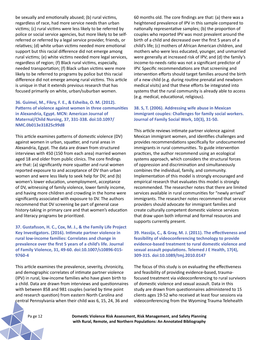be sexually and emotionally abused; (b) rural victims, regardless of race, had more service needs than urban victims; (c) rural victims were less likely to be referred by police or social service agencies, but more likely to be selfreferred or referred by a legal service provider, friends, or relatives; (d) white urban victims needed more emotional support but this racial difference did not emerge among rural victims; (e) white victims needed more legal services, regardless of region; (f) Black rural victims, especially, needed transportation; (f) Black urban victims were more likely to be referred to programs by police but this racial difference did not emerge among rural victims. This article is unique in that it extends previous research that has focused primarily on white, urban/suburban women.

# **36. Guimei, M., Fikry, F. E., & Esheiba, O. M. (2012). Patterns of violence against women in three communities in Alexandria, Egypt. MCN: American Journal of Maternal/Child Nursing, 37, 331-338. doi:10.1097/ NMC.0b013e31825c99d8**

This article examines patterns of domestic violence (DV) against women in urban, squatter, and rural areas in Alexandria, Egypt. The data are drawn from structured interviews with 450 (150 from each area) married women aged 18 and older from public clinics. The core findings are that: (a) significantly more squatter and rural women reported exposure to and acceptance of DV than urban women and were less likely to seek help for DV; and (b) women's lower education, unemployment, acceptance of DV, witnessing of family violence, lower family income, and having more children and crowding in the home were significantly associated with exposure to DV. The authors recommend that DV screening be part of general case history-taking in primary care and that women's education and literacy programs be prioritized.

**37. Gustafsson, H. C., Cox, M. J., & the Family Life Project Key Investigators. (2016). Intimate partner violence in rural low-income families: Correlates and change in prevalence over the first 5 years of a child's life. Journal of Family Violence, 31, 49-60. doi:10.1007/s10896-015- 9760-4**

This article examines the prevalence, severity, chronicity, and demographic correlates of intimate partner violence (IPV) in rural, low-income families who have given birth to a child. Data are drawn from interviews and questionnaires with between 858 and 981 couples (varied by time point and research question) from eastern North Carolina and central Pennsylvania when their child was 6, 15, 24, 36 and

60 months old. The core findings are that: (a) there was a heightened prevalence of IPV in this sample compared to nationally representative samples; (b) the proportion of couples who reported IPV was most prevalent around the birth of a child and decreased over the first 5 years of a child's life; (c) mothers of African American children, and mothers who were less educated, younger, and unmarried were generally at increased risk of IPV; and (d) the family's income-to-needs ratio was not a significant predictor of IPV. Specific recommendations are that screening and intervention efforts should target families around the birth of a new child (e.g. during routine prenatal and newborn medical visits) and that these efforts be integrated into systems that the rural community is already able to access (e.g. medical, educational, religious).

#### **38. S, T. (2006). Addressing wife abuse in Mexican immigrant couples: Challenges for family social workers. Journal of Family Social Work, 10(3), 31-50.**

This article reviews intimate partner violence against Mexican immigrant women, and identifies challenges and provides recommendations specifically for undocumented immigrants in rural communities. To guide intervention practices, the author recommend using an ecological systems approach, which considers the structural forces of oppression and discrimination and simultaneously combines the individual, family, and community. Implementation of this model is strongly encouraged and empirical research that evaluates this model is strongly recommended. The researcher notes that there are limited services available in rural communities for "newly arrived" immigrants. The researcher notes recommend that service providers should advocate for immigrant families and create culturally competent domestic violence services that draw upon both informal and formal resources and supports currently present.

**39. Hassija, C., & Gray, M. J. (2011). The effectiveness and feasibility of videoconferencing technology to provide evidence-based treatment to rural domestic violence and sexual assault populations. Telemed J E Health, 17(4), 309-315. doi:10.1089/tmj.2010.0147**

The focus of this study is on evaluating the effectiveness and feasibility of providing evidence-based, traumafocused treatment via videoconferencing to rural survivors of domestic violence and sexual assault. Data in this study are drawn from questionnaires administered to 15 clients ages 19-52 who received at least four sessions via videoconferencing from the Wyoming Trauma Telehealth

Pa ge 12 **Domestic Violence Risk Assessment, Risk Management, and Safety Planning with Rural, Remote, and Northern Populations: An Annotated Bibliography**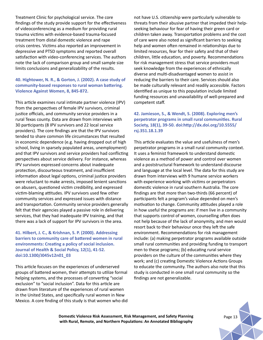Treatment Clinic for psychological service. The core findings of the study provide support for the effectiveness of videoconferencing as a medium for providing rural trauma victims with evidence-based trauma-focused treatment from distal domestic violence and rape crisis centres. Victims also reported an improvement in depressive and PTSD symptoms and reported overall satisfaction with video-conferencing services. The authors note the lack of comparison group and small sample size limits conclusions and generalizability of the results.

# **40. Hightower, N. R., & Gorton, J. (2002). A case study of community-based responses to rural woman battering. Violence Against Women, 8, 845-872.**

This article examines rural intimate partner violence (IPV) from the perspectives of female IPV survivors, criminal justice officials, and community service providers in a rural Texas county. Data are drawn from interviews with 30 participants (8 IPV survivors and 22 local service providers). The core findings are that the IPV survivors tended to share common life circumstances that resulted in economic dependence (e.g. having dropped out of high school, living in sparsely populated areas, unemployment) and that IPV survivors and service providers had conflicting perspectives about service delivery. For instance, whereas IPV survivors expressed concerns about inadequate protection, discourteous treatment, and insufficient information about legal options, criminal justice providers were reluctant to make arrests, imposed lenient sanctions on abusers, questioned victim credibility, and expressed victim-blaming attitudes. IPV survivors used few other community services and expressed issues with distance and transportation. Community service providers generally felt that their agencies played a passive role in delivering services, that they had inadequate IPV training, and that there was a lack of support for IPV survivors in the area.

## **41. Hilbert, J. C., & Krishnan, S. P. (2000). Addressing barriers to community care of battered women in rural environments: Creating a policy of social inclusion. Journal of Health & Social Policy, 12(1), 41-52. doi:10.1300/J045v12n01\_03**

This article focuses on the experiences of underserved groups of battered women, their attempts to utilize formal helping systems, and the processes of converting "social exclusion" to "social inclusion". Data for this article are drawn from literature of the experiences of rural women in the United States, and specifically rural women in New Mexico. A core finding of this study is that women who did not have U.S. citizenship were particularly vulnerable to threats from their abusive partner that impeded their helpseeking behaviour for fear of having their green card or children taken away. Transportation problems and the cost of care were also noted as significant barriers to seeking help and women often remained in relationships due to limited resources, fear for their safety and that of their children, little education, and poverty. Recommendations for risk management stress that service providers must seek knowledge from the experiences of ethnically diverse and multi-disadvantaged women to assist in reducing the barriers to their care. Services should also be made culturally relevant and readily accessible. Factors identified as unique to this population include limited funding resources and unavailability of well-prepared and competent staff.

# **42. Jamieson, S., & Wendt, S. (2008). Exploring men's perpetrator programs in small rural communities. Rural Society, 18(1), 39-50. doi:http://dx.doi.org/10.5555/ rsj.351.18.1.39**

This article evaluates the value and usefulness of men's perpetrator programs in a small rural community context. It uses a feminist framework to understand domestic violence as a method of power and control over women and a poststructural framework to understand discourse and language at the local level. The data for this study are drawn from interviews with 9 humane service workers with experience working with victims or perpetrators domestic violence in rural southern Australia. The core findings are that more than two-thirds (66 percent) of participants felt a program's value depended on men's motivation to change. Community attitudes played a role in how useful the programs are: if men live in a community that supports control of women, counselling often does not help because of the lack of anonymity, and men would resort back to their behaviour once they left the safe environment. Recommendations for risk management include: (a) making perpetrator programs available outside small rural communities and providing funding to transport men to these programs; (b) educating rural service providers on the culture of the communities where they work; and (c) creating Domestic Violence Actions Groups to educate the community. The authors also note that this study is conducted in one small rural community so the findings are not generalizable.

**Domestic Violence Risk Assessment, Risk Management, and Safety Planning Page 13** Page 13 **with Rural, Remote, and Northern Populations: An Annotated Bibliography**

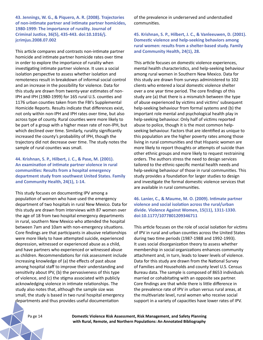**43. Jennings, W. G., & Piquero, A. R. (2008). Trajectories of non-intimate partner and intimate partner homicides, 1980-1999: The importance of rurality. Journal of Criminal Justice, 36(5), 435-443. doi:10.1016/j. jcrimjus.2008.07.002**

This article compares and contrasts non-intimate partner homicide and intimate partner homicide rates over time in order to explore the importance of rurality when investigating intimate partner violence. It uses a social isolation perspective to assess whether isolation and remoteness result in breakdown of informal social control and an increase in the possibility for violence. Data for this study are drawn from twenty-year estimates of non-IPH and IPH (1980-1999) for 165 rural U.S. counties and 1176 urban counties taken from the FBI's Supplemental Homicide Reports. Results indicate that differences exist, not only within non-IPH and IPH rates over time, but also across type of county. Rural counties were more likely to be part of a group with a higher mean rate of non-IPH, but which declined over time. Similarly, rurality significantly increased the county's probability of IPH, though the trajectory did not decrease over time. The study notes the sample of rural counties was small.

**44. Krishnan, S. P., Hilbert, J. C., & Pase, M. (2001). An examination of intimate partner violence in rural communities: Results from a hospital emergency department study from southwest United States. Family and Community Health, 24(1), 1-14.** 

This study focuses on documenting IPV among a population of women who have used the emergency department of two hospitals in rural New Mexico. Data for this study are drawn from interviews with 87 women over the age of 18 from two hospital emergency departments in rural, southern New Mexico who attended the hospital between 7am and 10am with non-emergency situations. Core findings are that participants in abusive relationships were more likely to have attempted suicide, experienced depression, witnessed or experienced abuse as a child, and have partners who experienced or witnessed abuse as children. Recommendations for risk assessment include increasing knowledge of (a) the effects of past abuse among hospital staff to improve their understanding and sensitivity about IPV, (b) the pervasiveness of this type of violence, and (c) the stigma associated with publicly acknowledging violence in intimate relationships. The study also notes that, although the sample size was small, the study is based in two rural hospital emergency departments and thus provides useful documentation

of the prevalence in underserved and understudied communities.

**45. Krishnan, S. P., Hilbert, J. C., & Vanleeuwen, D. (2001). Domestic violence and help-seeking behaviors among rural women: results from a shelter-based study. Family and Community Health, 24(1), 28.** 

This article focuses on domestic violence experiences, mental health characteristics, and help-seeking behaviour among rural women in Southern New Mexico. Data for this study are drawn from surveys administered to 102 clients who entered a local domestic violence shelter over a one year time period. The core findings of this study are (a) that there is a mismatch between the type of abuse experienced by victims and victims' subsequent help-seeking behaviour from formal systems and (b) the important role mental and psychological health play in help-seeking behaviour. Only half of victims reported abuse to police, though it is the most common helpseeking behaviour. Factors that are identified as unique to this population are the higher poverty rates among those living in rural communities and that Hispanic women are more likely to report thoughts or attempts of suicide than other ethnic groups and more likely to request restraining orders. The authors stress the need to design services tailored to the ethnic-specific mental health needs and help-seeking behaviour of those in rural communities. This study provides a foundation for larger studies to design and investigate the formal domestic violence services that are available in rural communities.

**46. Lanier, C., & Maume, M. O. (2009). Intimate partner violence and social isolation across the rural/urban divide. Violence Against Women, 15(11), 1311-1330. doi:10.1177/1077801209346711**

This article focuses on the role of social isolation for victims of IPV in rural and urban counties across the United States during two time periods (1987-1988 and 1992-1993). It uses social disorganization theory to assess whether membership in social organizations enhances community attachment and, in turn, leads to lower levels of violence. Data for this study are drawn from the National Survey of Families and Households and county level U.S. Census Bureau data. The sample is composed of 8653 individuals married or cohabitating with an opposite sex partner. Core findings are that while there is little difference in the prevalence rate of IPV in urban versus rural areas, at the multivariate level, rural women who receive social support in a variety of capacities have lower rates of IPV.

Pa ge 14 **Domestic Violence Risk Assessment, Risk Management, and Safety Planning with Rural, Remote, and Northern Populations: An Annotated Bibliography**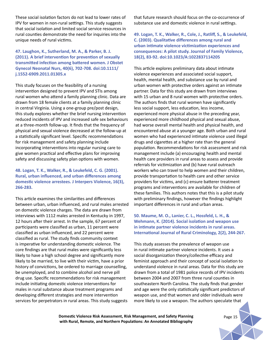These social isolation factors do not lead to lower rates of IPV for women in non-rural settings. This study suggests that social isolation and limited social service resources in rural counties demonstrate the need for inquiries into the unique needs of rural victims.

#### **47. Laughon, K., Sutherland, M. A., & Parker, B. J. (2011). A brief intervention for prevention of sexually transmitted infection among battered women. J Obstet Gynecol Neonatal Nurs, 40(6), 702-708. doi:10.1111/ j.1552-6909.2011.01305.x**

This study focuses on the feasibility of a nursing intervention designed to prevent IPV and STIs among rural women who attend a family planning clinic. Data are drawn from 18 female clients at a family planning clinic in central Virginia. Using a one-group pre/post design, this study explores whether the brief nursing intervention reduced incidents of IPV and increased safe sex behaviours at a three-month follow-up. It finds that the frequency of physical and sexual violence decreased at the follow-up at a statistically significant level. Specific recommendations for risk management and safety planning include incorporating interventions into regular nursing care to give women practical and effective plans for improving safety and discussing safety plan options with women.

# **48. Logan, T. K., Walker, R., & Leukefeld, C. G. (2001). Rural, urban influenced, and urban differences among domestic violence arrestees. J Interpers Violence, 16(3), 266-283.**

This article examines the similarities and differences between urban, urban influenced, and rural males arrested on domestic violence charges. The data are drawn from interviews with 1112 males arrested in Kentucky in 1997, 12 hours after their arrest. In the sample, 67 percent of participants were classified as urban, 11 percent were classified as urban influenced, and 22 percent were classified as rural. The study finds community context is imperative for understanding domestic violence. The core findings are that rural males were significantly less likely to have a high school degree and significantly more likely to be married, to live with their victim, have a prior history of convictions, be ordered to marriage counselling, be unemployed, and to combine alcohol and nerve pill drug use. Specific recommendations for risk management include initiating domestic violence interventions for males in rural substance abuse treatment programs and developing different strategies and more intervention services for perpetrators in rural areas. This study suggests

that future research should focus on the co-occurrence of substance use and domestic violence in rural settings.

**49. Logan, T. K., Walker, R., Cole, J., Ratliff, S., & Leukefeld, C. (2003). Qualitative differences among rural and urban intimate violence victimization experiences and consequences: A pilot study. Journal of Family Violence, 18(2), 83-92. doi:10.1023/A:1022837114205**

This article explores preliminary data about intimate violence experiences and associated social support, health, mental health, and substance use by rural and urban women with protective orders against an intimate partner. Data for this study are drawn from interviews with 15 urban and 8 rural women with protective orders. The authors finds that rural women have significantly less social support, less education, less income, experienced more physical abuse in the preceding year, experienced more childhood physical and sexual abuse, had worse overall mental health and physical health, and encountered abuse at a younger age. Both urban and rural women who had experienced intimate violence used illegal drugs and cigarettes at a higher rate than the general population. Recommendations for risk assessment and risk management include (a) encouraging health and mental health care providers in rural areas to assess and provide referrals for victimization and (b) have rural outreach workers who can travel to help women and their children, provide transportation to health care and other service providers for victims, and (c) ensure batterer treatment programs and interventions are available for children of these families. This authors notes that this is a pilot study with preliminary findings, however the findings highlight important differences in rural and urban areas.

# **50. Maume, M. O., Lanier, C. L., Hossfeld, L. H., & Wehmann, K. (2014). Social isolation and weapon use in intimate partner violence incidents in rural areas. International Journal of Rural Criminology, 2(2), 244-267.**

This study assesses the prevalence of weapon use in rural intimate partner violence incidents. It uses a social disorganization theory/collective efficacy and feminist approach and their concept of social isolation to understand violence in rural areas. Data for this study are drawn from a total of 1981 police records of IPV incidents between 2004 and 2007 from three rural counties in southeastern North Carolina. The study finds that gender and age were the only statistically significant predictors of weapon use, and that women and older individuals were more likely to use a weapon. The authors speculate that

**Domestic Violence Risk Assessment, Risk Management, and Safety Planning Page 15** Page 15 **with Rural, Remote, and Northern Populations: An Annotated Bibliography**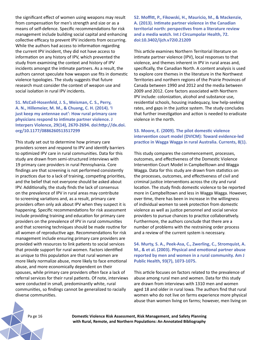the significant effect of women using weapons may result from compensation for men's strength and size or as a means of self-defence. Specific recommendations for risk management include building social capital and enhancing collective efficacy to prevent IPV incidents from occurring. While the authors had access to information regarding the current IPV incident, they did not have access to information on any history of IPV, which prevented the study from examining the context and history of IPV incidents amongst the intimate partners. As a result, the authors cannot speculate how weapon use fits in domestic violence typologies. The study suggests that future research must consider the context of weapon use and social isolation in rural IPV incidents.

**51. McCall-Hosenfeld, J. S., Weisman, C. S., Perry, A. N., Hillemeier, M. M., & Chuang, C. H. (2014). 'I just keep my antennae out': How rural primary care physicians respond to intimate partner violence. J Interpers Violence, 29(14), 2670-2694. doi:http://dx.doi. org/10.1177/0886260513517299**

This study set out to determine how primary care providers screen and respond to IPV and identify barriers to optimized IPV care in rural communities. Data for this study are drawn from semi-structured interviews with 19 primary care providers in rural Pennsylvania. Core findings are that screening is not performed consistently in practices due to a lack of training, competing priorities, and the belief that not everyone should be asked about IPV. Additionally, the study finds the lack of consensus on the prevalence of IPV in rural areas may contribute to screening variations and, as a result, primary care providers often only ask about IPV when they suspect it is happening. Specific recommendations for risk assessment include providing training and education for primary care providers on the prevalence of IPV in rural communities and that screening techniques should be made routine for all women of reproductive age. Recommendations for risk management include ensuring primary care providers are provided with resources to link patients to social services that provide support for rural women. Factors identified as unique to this population are that rural women are more likely normalize abuse, more likely to face emotional abuse, and more economically dependent on their spouses, while primary care providers often face a lack of referral services for their rural patients. Of note, interviews were conducted in small, predominantly white, rural communities, so findings cannot be generalized to racially diverse communities.

**52. Moffitt, P., Fikowski, H., Mauricio, M., & Mackenzie, A. (2013). Intimate partner violence in the Canadian territorial north: perspectives from a literature review and a media watch. Int J Circumpolar Health, 72. doi:10.3402/ijch.v72i0.21209**

This article examines Northern Territorial literature on intimate partner violence (IPV), local responses to that violence, and themes inherent in IPV in rural areas and, specifically, the Canadian North. A content analysis is used to explore core themes in the literature in the Northwest Territories and northern regions of the Prairie Provinces of Canada between 1990 and 2012 and the media between 2009 and 2012. Core factors associated with Northern IPV include: colonization, alcohol and substance use, residential schools, housing inadequacy, low help-seeking rates, and gaps in the justice system. The study concludes that further investigation and action is needed to eradicate violence in the north.

#### **53. Moore, E. (2009). The pilot domestic violence intervention court model (DVICM): Toward evidence-led practice in Wagga Wagga in rural Australia. Currents, 8(1).**

This study compares the commencement, processes, outcomes, and effectiveness of the Domestic Violence Intervention Court Model in Campbelltown and Wagga Wagga. Data for this study are drawn from statistics on the processes, outcomes, and effectiveness of civil and criminal justice interventions across the city and rural location. The study finds domestic violence to be reported more in Campbelltown and less in Wagga Wagga. However, over time, there has been in increase in the willingness of individual women to seek protection from domestic violence as well as justice personnel and social service providers to pursue chances to practice collaboratively. Furthermore, the authors conclude that there are a number of problems with the restraining order process and a review of the current system is necessary.

# **54. Murty, S. A., Peek-Asa, C., Zwerling, C., Stromquist, A. M., & et al. (2003). Physical and emotional partner abuse reported by men and women in a rural community. Am J Public Health, 93(7), 1073-1075.**

This article focuses on factors related to the prevalence of abuse among rural men and women. Data for this study are drawn from interviews with 1310 men and women aged 18 and older in rural Iowa. The authors find that rural women who do not live on farms experience more physical abuse than women living on farms; however, men living on

Pa ge 16 **Domestic Violence Risk Assessment, Risk Management, and Safety Planning with Rural, Remote, and Northern Populations: An Annotated Bibliography**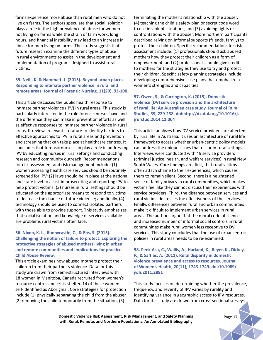farms experience more abuse than rural men who do not live on farms. The authors speculate that social isolation plays a role in the high prevalence of abuse for women not living on farms while the strain of farm work, long hours, and financial instability may lead to an increase in abuse for men living on farms. The study suggests that future research examine the different types of abuse in rural environments to assist in the development and implementation of programs designed to assist rural victims.

#### **55. Neill, K. & Hammatt, J. (2015). Beyond urban places: Responding to intimate partner violence in rural and remote areas. Journal of Forensic Nursing, 11(20), 93-100.**

This article discusses the public health response to intimate partner violence (IPV) in rural areas. This study is particularly interested in the role forensic nurses have and the difference they can make in prevention efforts as well as effective responses to intimate partner violence in rural areas. It reviews relevant literature to identify barriers to effective approaches to IPV in rural areas and prevention and screening that can take place at healthcare centres. It concludes that forensic nurses can play a role in addressing IPV by educating nurses in rural settings and conducting research and community outreach. Recommendations for risk assessment and risk management include: (1) women accessing health care services should be routinely screened for IPV; (2) laws should be in place at the national and state level to assist in prosecuting and reporting IPV to help protect victims; (3) nurses in rural settings should be educated on the appropriate means to respond to victims to decrease the chance of future violence; and finally, (4) technology should be used to connect isolated partners with those able to provide support. This study emphasizes that social isolation and knowledge of services available are problems rural victims often face.

## **56. Nixon, K. L., Bonnycastle, C., & Ens, S. (2015). Challenging the notion of failure to protect: Exploring the protective strategies of abused mothers living in urban and remote communities and implications for practice. Child Abuse Review.**

This article examines how abused mothers protect their children from their partner's violence. Data for this study are drawn from semi-structured interviews with 18 women in Manitoba, Canada recruited from women's resource centres and crisis shelter. 14 of these women self-identified as Aboriginal. Core strategies for protection include (1) physically separating the child from the abuser, (2) removing the child temporarily from the situation, (3)

terminating the mother's relationship with the abuser, (4) teaching the child a safety plan or secret code word to use in violent situations, and (5) avoiding fights or confrontations with the abuser. More northern participants described relying on informal supports (friends, family) to protect their children. Specific recommendations for risk assessment include: (1) professionals should ask abused mothers how they protect their children as a form of empowerment, and (2) professionals should give credit to mothers for the strategies they use to try and protect their children. Specific safety planning strategies include developing comprehensive case plans that emphasize a women's strengths and capacities.

**57. Owen, S., & Carrington, K. (2015). Domestic violence (DV) service provision and the architecture of rural life: An Australian case study. Journal of Rural Studies, 39, 229-238. doi:http://dx.doi.org/10.1016/j. jrurstud.2014.11.004**

This article analyzes how DV service providers are affected by rural life in Australia. It uses an architecture of rural life framework to access whether urban-centric policy models can address the unique issues that occur in rural settings. Interviews were conducted with 49 service providers (criminal justice, health, and welfare services) in rural New South Wales. Core findings are, first, that rural victims often attach shame to their experiences, which causes them to remain silent. Second, there is a heightened sense of family privacy in rural communities, which makes victims feel like they cannot discuss their experiences with service providers. Third, the distance between services and rural victims decreases the effectiveness of the services. Finally, differences between rural and urban communities make it difficult to implement urban services in rural areas. The authors argue that the moral code of silence and increased number of informal social controls in rural communities make rural women less receptive to DV services. This study concludes that the use of urbancentric policies in rural areas needs to be re-examined.

**58. Peek-Asa, C., Wallis, A., Harland, K., Beyer, K., Dickey, P., & Saftlas, A. (2011). Rural disparity in domestic violence prevalence and access to resources. Journal of Women's Health, 20(11), 1743-1749. doi:10.1089/ jwh.2011.2891**

This study focuses on determining whether the prevalence, frequency, and severity of IPV varies by rurality and identifying variance in geographic access to IPV resources. Data for this study are drawn from cross-sectional surveys

**Domestic Violence Risk Assessment, Risk Management, and Safety Planning Page 17** Page 17 **with Rural, Remote, and Northern Populations: An Annotated Bibliography**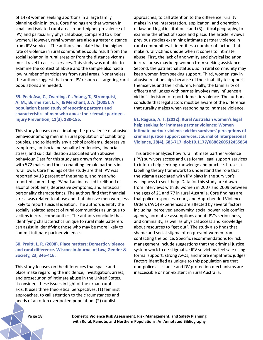of 1478 women seeking abortions in a large family planning clinic in Iowa. Core findings are that women in small and isolated rural areas report higher prevalence of IPV, and particularly physical abuse, compared to urban women. However, rural women are also a greater distance from IPV services. The authors speculate that the higher rate of violence in rural communities could result from the social isolation in rural areas or from the distance victims must travel to access services. This study was not able to examine the context of abuse and the sample also had a low number of participants from rural areas. Nonetheless, the authors suggest that more IPV resources targeting rural populations are needed.

**59. Peek-Asa, C., Zwerling, C., Young, T., Stromquist, A. M., Burmeister, L. F., & Merchant, J. A. (2005). A population based study of reporting patterns and characteristics of men who abuse their female partners. Injury Prevention, 11(3), 180-185.** 

This study focuses on estimating the prevalence of abusive behaviour among men in a rural population of cohabiting couples, and to identify any alcohol problems, depressive symptoms, antisocial personality tendencies, financial stress, and suicidal ideation associated with abusive behaviour. Data for this study are drawn from interviews with 572 males and their cohabiting female partners in rural Iowa. Core findings of the study are that IPV was reported by 13 percent of the sample, and men who reported committing IPV had an increased likelihood of alcohol problems, depressive symptoms, and antisocial personality characteristics. The authors find that financial stress was related to abuse and that abusive men were less likely to report suicidal ideation. The authors identify the socially isolated aspect of rural communities as unique to victims in rural communities. The authors conclude that identifying characteristics unique to rural male batterers can assist in identifying those who may be more likely to commit intimate partner violence.

**60. Pruitt, L. R. (2008). Place matters: Domestic violence and rural difference. Wisconsin Journal of Law, Gender & Society, 23, 346-416.** 

This study focuses on the differences that space and place make regarding the incidence, investigation, arrest, and prosecution of intimate abuse in the United States. It considers these issues in light of the urban-rural axis. It uses three theoretical perspectives: (1) feminist approaches, to call attention to the circumstances and needs of an often overlooked population; (2) ruralist

approaches, to call attention to the difference rurality makes in the interpretation, application, and operation of law and legal institutions; and (3) critical geography, to examine the effect of space and place. The article reviews previous studies examining intimate partner violence in rural communities. It identifies a number of factors that make rural victims unique when it comes to intimate abuse. First, the lack of anonymity and physical isolation in rural areas may keep women from seeking assistance. Second, the patriarchal status quo in rural community may keep women from seeking support. Third, women stay in abusive relationships because of their inability to support themselves and their children. Finally, the familiarity of officers and judges with parties involves may influence a victim's decision to report domestic violence. The authors conclude that legal actors must be aware of the difference that rurality makes when responding to intimate violence.

**61. Ragusa, A. T. (2012). Rural Australian women's legal help seeking for intimate partner violence: Women intimate partner violence victim survivors' perceptions of criminal justice support services. Journal of Interpersonal Violence, 28(4), 685-717. doi:10.1177/0886260512455864**

This article analyzes how rural intimate partner violence (IPV) survivors access and use formal legal support services to inform help-seeking knowledge and practice. It uses a labelling theory framework to understand the role that the stigma associated with IPV plays in the survivor's willingness to seek help. Data for this study are drawn from interviews with 36 women in 2007 and 2009 between the ages of 21 and 77 in rural Australia. Core findings are that police responses, court, and Apprehended Violence Orders (AVO) experiences are affected by several factors including: perceived anonymity, social power, role conflict, agency, normative assumptions about IPV's seriousness, and criminality, as well as physical access and knowledge about resources to "get out". The study also finds that shame and social stigma often prevent women from contacting the police. Specific recommendations for risk management include suggestions that the criminal justice system work to de-stigmatize IPV so victims feel safe using formal support, strong AVOs, and more empathetic judges. Factors identified as unique to this population are that non-police assistance and DV protection mechanisms are inaccessible or non-existent in rural Australia.

Pa ge 18 **Domestic Violence Risk Assessment, Risk Management, and Safety Planning with Rural, Remote, and Northern Populations: An Annotated Bibliography**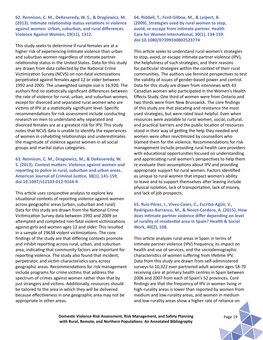**62. Rennison, C. M., DeKeseredy, W. S., & Dragiewicz, M. (2013). Intimate relationship status variations in violence against women: Urban, suburban, and rural differences. Violence Against Women, 19(11), 1312.** 

This study seeks to determine if rural females are at a higher risk of experiencing intimate violence than urban and suburban women regardless of intimate partner relationship status in the United States. Data for this study are drawn from data collected by the National Crime Victimization Survey (NCVS) on non-fatal victimizations perpetrated against females aged 12 or older between 1992 and 2005. The unweighted sample size is 16,920. The authors find no statistically significant differences between the rate of violence for rural, urban, and suburban women, except for divorced and separated rural women who are victims of IPV at a statistically significant level. Specific recommendations for risk assessment include conducting research on men to understand why separated and divorced females are at a greatest risk for IPV. This study notes that NCVS data is unable to identify the experiences of women in cohabiting relationships and underestimates the magnitude of violence against women in all social groups and marital status categories.

# **63. Rennison, C. M., Dragiewicz, M., & DeKeseredy, W. S. (2013). Context matters: Violence against women and reporting to police in rural, suburban and urban areas. American Journal of Criminal Justice, 38(1), 141-159. doi:10.1007/s12103-012-9164-4**

This article uses conjunctive analysis to explore key situational contexts of reporting violence against women across geographic areas (urban, suburban and rural). Data for this study are drawn from the National Crime Victimization Survey data between 1992 and 2009 on attempted and completed non-fatal violent victimizations against girls and women ages 12 and older. This resulted in a sample of 19638 violent victimizations. The core findings of the study are that differing contexts promote and inhibit reporting across rural, urban, and suburban area, indicating that community factors are important for reporting violence. The study also found that incident, perpetrator, and victim characteristics vary across geographic areas. Recommendations for risk management include programs for crime victims that address the spectrum of crimes against women rather than that by just strangers and victims. Additionally, resources should be tailored to the area in which they will be delivered because effectiveness in one geographic area may not be appropriate in other areas.

**64. Riddell, T., Ford-Gilboe, M., & Leipert, B. (2009). Strategies used by rural women to stop, avoid, or escape from intimate partner. Health Care for Women International, 30(1), 134-159. doi:10.1080/07399330802523774**

This article seeks to understand rural women's strategies to stop, avoid, or escape intimate partner violence (IPV), the helpfulness of such strategies, and their reasons for particular strategies within the context of their rural communities. The authors use feminist perspectives to test the validity of issues of gender-based power and control. Data for this study are drawn from interviews with 43 Canadian women who participated in the Women's Health Effects Study. One third of women were from Ontario and two thirds were from New Brunswick. The core findings of this study are that placating and resistance the most used strategies, but were rated least helpful. Even when resources were available to rural women, social, cultural, and practical barriers and the public location of resources stood in their way of getting the help they needed and women were often revictimized by counsellors who blamed them for the violence. Recommendations for risk management include providing rural health care providers with educational opportunities focused on understanding and appreciating rural women's perspectives to help them re-evaluate their assumptions about IPV and providing appropriate support for rural women. Factors identified as unique to rural women that impact women's ability to leave and to support themselves after leaving include physical isolation, lack of transportation, lack of money, and lack of job prospects.

**65. Ruiz-Pérez, I., Vives-Cases, C., Escribá-Agüir, V., Rodríguez-Barranco, M., & Nevot-Cordero, A. (2015). How does intimate partner violence differ depending on level of rurality of residential area in Spain? Health & Social Work, 40(2), 108.** 

This article analyzes rural areas in Spain in terms of intimate partner violence (IPV) frequency, its impact on health and use of services, and the sociodemographic characteristics of women suffering from lifetime IPV. Data from this study are drawn from self-administered surveys to 10,322 ever-partnered adult women ages 18-70 receiving care at primary health centres in Spain between 2006 and 2007 from each of Spain's 52 provinces. Core findings are that the frequency of IPV in women living in high-rurality areas is lower than reported by women from medium and low-rurality areas, and women in medium and low-rurality areas show a higher rate of reliance on

**Domestic Violence Risk Assessment, Risk Management, and Safety Planning Page 19 Page 19 with Rural, Remote, and Northern Populations: An Annotated Bibliography**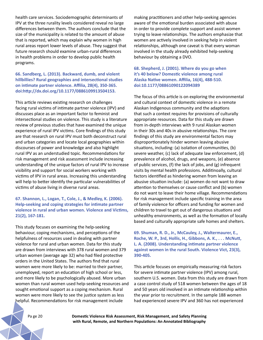health care services. Sociodemographic determinants of IPV at the three rurality levels considered reveal no large differences between them. The authors conclude that the size of the municipality is related to the amount of abuse that is reported, which may explain why women in high rural areas report lower levels of abuse. They suggest that future research should examine urban-rural differences in health problems in order to develop public health programs.

**66. Sandberg, L. (2013). Backward, dumb, and violent hillbillies? Rural geographies and intersectional studies on intimate partner violence. Affilia, 28(4), 350-365. doi:http://dx.doi.org/10.1177/0886109913504153.**

This article reviews existing research on challenges facing rural victims of intimate partner violence (IPV) and discusses place as an important factor to feminist and intersectional studies on violence. This study is a literature review of previous studies that have examined the unique experience of rural IPV victims. Core findings of this study are that research on rural IPV must both deconstruct rural and urban categories and locate local geographies within discourses of power and knowledge and also highlight rural IPV as an understudied topic. Recommendations for risk management and risk assessment include increasing understanding of the unique factors of rural IPV to increase visibility and support for social workers working with victims of IPV in rural areas. Increasing this understanding will help to better identify the particular vulnerabilities of victims of abuse living in diverse rural areas.

#### **67. Shannon, L., Logan, T., Cole, J., & Medley, K. (2006). Help-seeking and coping strategies for intimate partner violence in rural and urban women. Violence and Victims, 21(2), 167-181.**

This study focuses on examining the help-seeking behaviour, coping mechanisms, and perceptions of the helpfulness of resources used in dealing with partner violence for rural and urban women. Data for this study are drawn from interviews with 378 rural women and 379 urban women (average age 32) who had filed protective orders in the United States. The authors find that rural women were more likely to be: married to their partner, unemployed, report an education of high school or less, and more likely to be psychologically abused. More urban women than rural women used help-seeking resources and sought emotional support as a coping mechanism. Rural women were more likely to see the justice system as less helpful. Recommendations for risk management include

making practitioners and other help-seeking agencies aware of the emotional burden associated with abuse in order to provide complete support and assist women trying to leave relationships. The authors emphasize that women are actively involved in seeking help in violent relationships, although one caveat is that every woman involved in the study already exhibited help-seeking behaviour by obtaining a DVO.

**68. Shepherd, J. (2001). Where do you go when it's 40 below? Domestic violence among rural Alaska Native women. Affilia, 16(4), 488-510. doi:10.1177/08861090122094389**

The focus of this article is on exploring the environmental and cultural context of domestic violence in a remote Alaskan Indigenous community and the adaptions that such a context requires for provisions of culturally appropriate resources. Data for this study are drawn from in-depth interviews with 9 rural Alaskan women in their 30s and 40s in abusive relationships. The core findings of this study are environmental factors may disproportionately hinder women leaving abusive situations, including: (a) isolation of communities, (b) severe weather, (c) lack of adequate law enforcement, (d) prevalence of alcohol, drugs, and weapons, (e) absence of public services, (f) the lack of jobs, and (g) infrequent visits by mental health professions. Additinoally, cultural factors identified as hindering women from leaving an abusive situation include: (a) women do not want to draw attention to themselves or cause conflict and (b) women do not want to leave their home village. Recommendations for risk management include specific training in the area of family violence for officers and funding for women and children to travel to get out of dangerous situations and unhealthy environments, as well as the formation of locally based and culturally appropriate safe homes and shelters.

**69. Shuman, R. D., Jr., McCauley, J., Waltermaurer, E., Roche, W. P., 3rd, Hollis, H., Gibbons, A. K., . . . McNutt, L. A. (2008). Understanding intimate partner violence against women in the rural South. Violence Vict, 23(3), 390-405.** 

This article focuses on empirically measuring risk factors for severe intimate partner violence (IPV) among rural, southern U.S. women. Data from this study are drawn from a case control study of 518 women between the ages of 18 and 50 years old involved in an intimate relationship within the year prior to recruitment. In the sample 188 women had experienced severe IPV and 360 has not experienced

Pa ge 20 **Domestic Violence Risk Assessment, Risk Management, and Safety Planning with Rural, Remote, and Northern Populations: An Annotated Bibliography**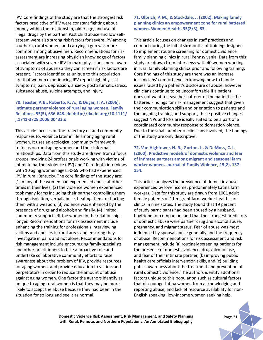IPV. Core findings of the study are that the strongest risk factors predictive of IPV were constant fighting about money within the relationship, older age, and use of illegal drugs by the partner. Past child abuse and low selfesteem were also strong risk factors for severe IPV among southern, rural women, and carrying a gun was more common among abusive men. Recommendations for risk assessment are increasing physician knowledge of factors associated with severe IPV to make physicians more aware of symptoms of abuse so they can screen if risk factors are present. Factors identified as unique to this population are that women experiencing IPV report high physical symptoms, pain, depression, anxiety, posttraumatic stress, substance abuse, suicide attempts, and injury.

# **70. Teaster, P. B., Roberto, K. A., & Dugar, T. A. (2006). Intimate partner violence of rural aging women. Family Relations, 55(5), 636-648. doi:http://dx.doi.org/10.1111/ j.1741-3729.2006.00432.x**

This article focuses on the trajectory of, and community responses to, violence later in life among aging rural women. It uses an ecological community framework to focus on rural aging women and their informal relationships. Data from this study are drawn from 3 focus groups involving 24 professionals working with victims of intimate partner violence (IPV) and 10 in-depth interviews with 10 aging women ages 50-69 who had experienced IPV in rural Kentucky. The core findings of the study are: (1) many of the women had experienced abuse at other times in their lives; (2) the violence women experienced took many forms including their partner controlling them through isolation, verbal abuse, beating them, or hurting them with a weapon; (3) violence was enhanced by the presence of drugs and alcohol; and finally, (4) limited community support left the women in the relationships longer. Recommendations for risk assessment include enhancing the training for professionals interviewing victims and abusers in rural areas and ensuring they investigate in pairs and not alone. Recommendations for risk management include encouraging family specialists and other practitioners to take a proactive role and undertake collaborative community efforts to raise awareness about the problem of IPV, provide resources for aging women, and provide education to victims and perpetrators in order to reduce the amount of abuse against aging women. One factor the authors identify as unique to aging rural women is that they may be more likely to accept the abuse because they had been in the situation for so long and see it as normal.

## **71. Ulbrich, P. M., & Stockdale, J. (2002). Making family planning clinics an empowerment zone for rural battered women. Women Health, 35(2/3), 83.**

This article focuses on changes in staff practices and comfort during the initial six months of training designed to implement routine screening for domestic violence family planning clinics in rural Pennsylvania. Data from this study are drawn from interviews with 40 women working in rural family planning clinics prior and following training. Core findings of this study are there was an increase in clinicians' comfort level in knowing how to handle issues raised by a patient's disclosure of abuse, however clinicians continue to be uncomfortable if a patient does not want to leave her batterer or the patient is the batterer. Findings for risk management suggest that given their communication skills and orientation to patients and the ongoing training and support, these positive changes suggest NPs and RNs are ideally suited to be a part of a coordinated community response to domestic violence. Due to the small number of clinicians involved, the findings of the study are only descriptive.

**72. Van Hightower, N. R., Gorton, J., & DeMoss, C. L. (2000). Predictive models of domestic violence and fear of intimate partners among migrant and seasonal farm worker women. Journal of Family Violence, 15(2), 137- 154.** 

This article analyzes the prevalence of domestic abuse experienced by low-income, predominately Latina farm workers. Data for this study are drawn from 1001 adult female patients of 11 migrant farm worker health care clinics in nine states. The study found that 19 percent of study participants had been abused by a husband, boyfriend, or companion, and that the strongest predictors of domestic abuse were partner drug and alcohol abuse, pregnancy, and migrant status. Fear of abuse was most influenced by spousal abuse generally and the frequency of abuse. Recommendations for risk assessment and risk management include (a) routinely screening patients for the presence of domestic violence, drug/alcohol use, and fear of their intimate partner, (b) improving public health care officials intervention skills, and (c) building public awareness about the treatment and prevention of rural domestic violence. The authors identify additional factors unique to this population such as cultural factors that discourage Latina women from acknowledging and reporting abuse, and lack of resource availability for non-English speaking, low-income women seeking help.

**Domestic Violence Risk Assessment, Risk Management, and Safety Planning** *Page 21* **with Rural, Remote, and Northern Populations: An Annotated Bibliography**

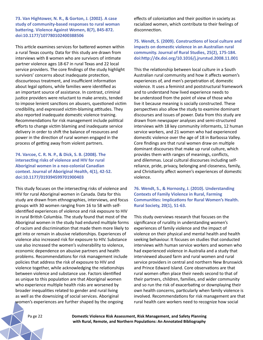**73. Van Hightower, N. R., & Gorton, J. (2002). A case study of community-based responses to rural woman battering. Violence Against Women, 8(7), 845-872. doi:10.1177/107780102400388506**

This article examines services for battered women within a rural Texas county. Data for this study are drawn from interviews with 8 women who are survivors of intimate partner violence ages 18-67 in rural Texas and 22 local service providers. The core findings of the study highlight survivors' concerns about inadequate protection, discourteous treatment, and insufficient information about legal options, while families were identified as an important source of assistance. In contrast, criminal justice providers were reluctant to make arrests, tended to impose lenient sanctions on abusers, questioned victim credibility, and expressed victim-blaming attitudes. They also reported inadequate domestic violence training. Recommendations for risk management include political efforts to change victim blaming and inadequate service delivery in order to shift the balance of resources and power in the direction of rural women engaged in the process of getting away from violent partners.

**74. Varcoe, C. R. N. P., & Dick, S. B. (2008). The intersecting risks of violence and HIV for rural Aboriginal women in a neo-colonial Canadian context. Journal of Aboriginal Health, 4(1), 42-52. doi:10.1177/019394599701900403**

This study focuses on the intersecting risks of violence and HIV for rural Aboriginal women in Canada. Data for this study are drawn from ethnographies, interviews, and focus groups with 30 women ranging from 16 to 58 with selfidentified experiences of violence and risk exposure to HIV in rural British Columbia. The study found that most of the Aboriginal women in the study had endured multiple forms of racism and discrimination that made them more likely to get into or remain in abusive relationships. Experiences of violence also increased risk for exposure to HIV. Substance use also increased the women's vulnerability to violence, economic dependence on abusive partners and health problems. Recommendations for risk management include policies that address the risk of exposure to HIV and violence together, while acknowledging the relationships between violence and substance use. Factors identified as unique to this population are that Aboriginal women who experience multiple health risks are worsened by broader inequalities related to gender and rural living as well as the downsizing of social services. Aboriginal women's experiences are further shaped by the ongoing

effects of colonization and their position in society as racialized women, which contribute to their feelings of disconnection.

**75. Wendt, S. (2009). Constructions of local culture and impacts on domestic violence in an Australian rural community. Journal of Rural Studies, 25(2), 175-184. doi:http://dx.doi.org/10.1016/j.jrurstud.2008.11.001**

This the relationship between local culture in a South Australian rural community and how it affects women's experiences of, and men's perpetration of, domestic violence. It uses a feminist and poststructural framework and to understand how lived experience needs to be understood from the point of view of those who live it because meaning is socially constructed. These perspectives also allow the study to examine dominant discourses and issues of power. Data from this study are drawn from newspaper analyses and semi-structured interviews with 18 key community informants, 12 human service workers, and 21 women who had experienced domestic violence over the age of 18 in Barbossa Valley. Core findings are that rural women draw on multiple dominant discourses that make up rural culture, which provides them with ranges of meanings, conflicts, and dilemmas. Local cultural discourses including selfreliance, pride, privacy, belonging and closeness, family, and Christianity affect women's experiences of domestic violence.

**76. Wendt, S., & Hornosty, J. (2010). Understanding Contexts of Family Violence in Rural, Farming Communities: Implications for Rural Women's Health. Rural Society, 20(1), 51-63.** 

This study overviews research that focuses on the significance of rurality in understanding women's experiences of family violence and the impact of violence on their physical and mental health and health seeking behaviour. It focuses on studies that conducted interviews with human service workers and women who had experienced violence in Australia and a study that interviewed abused farm and rural women and rural service providers in central and northern New Brunswick and Prince Edward Island. Core observations are that rural women often place their needs second to that of their partners, children, families, and wider community and so run the risk of exacerbating or downplaying their own health concerns, particularly when family violence is involved. Recommendations for risk management are that rural health care workers need to recognize how social

Pa ge 22 **Domestic Violence Risk Assessment, Risk Management, and Safety Planning with Rural, Remote, and Northern Populations: An Annotated Bibliography**